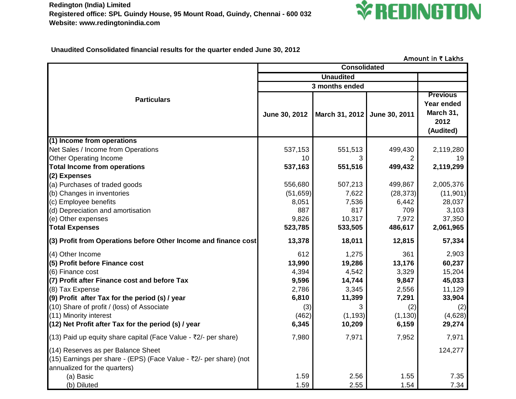**Redington (India) Limited Registered office: SPL Guindy House, 95 Mount Road, Guindy, Chennai - 600 032 Website: www.redingtonindia.com**



 **Unaudited Consolidated financial results for the quarter ended June 30, 2012**

|                                                                                                                                          | <b>Consolidated</b> |                              |           |                                                                 |
|------------------------------------------------------------------------------------------------------------------------------------------|---------------------|------------------------------|-----------|-----------------------------------------------------------------|
|                                                                                                                                          | <b>Unaudited</b>    |                              |           |                                                                 |
|                                                                                                                                          | 3 months ended      |                              |           |                                                                 |
| <b>Particulars</b>                                                                                                                       | June 30, 2012       | March 31, 2012 June 30, 2011 |           | <b>Previous</b><br>Year ended<br>March 31,<br>2012<br>(Audited) |
| (1) Income from operations                                                                                                               |                     |                              |           |                                                                 |
| Net Sales / Income from Operations                                                                                                       | 537,153             | 551,513                      | 499,430   | 2,119,280                                                       |
| <b>Other Operating Income</b>                                                                                                            | 10                  |                              |           | 19                                                              |
| <b>Total Income from operations</b>                                                                                                      | 537,163             | 551,516                      | 499,432   | 2,119,299                                                       |
| (2) Expenses                                                                                                                             |                     |                              |           |                                                                 |
| (a) Purchases of traded goods                                                                                                            | 556,680             | 507,213                      | 499,867   | 2,005,376                                                       |
| (b) Changes in inventories                                                                                                               | (51, 659)           | 7,622                        | (28, 373) | (11, 901)                                                       |
| (c) Employee benefits                                                                                                                    | 8,051               | 7,536                        | 6,442     | 28,037                                                          |
| (d) Depreciation and amortisation                                                                                                        | 887                 | 817                          | 709       | 3,103                                                           |
| (e) Other expenses                                                                                                                       | 9,826               | 10,317                       | 7,972     | 37,350                                                          |
| <b>Total Expenses</b>                                                                                                                    | 523,785             | 533,505                      | 486,617   | 2,061,965                                                       |
| (3) Profit from Operations before Other Income and finance cost                                                                          | 13,378              | 18,011                       | 12,815    | 57,334                                                          |
| (4) Other Income                                                                                                                         | 612                 | 1,275                        | 361       | 2,903                                                           |
| (5) Profit before Finance cost                                                                                                           | 13,990              | 19,286                       | 13,176    | 60,237                                                          |
| (6) Finance cost                                                                                                                         | 4,394               | 4,542                        | 3,329     | 15,204                                                          |
| (7) Profit after Finance cost and before Tax                                                                                             | 9,596               | 14,744                       | 9,847     | 45,033                                                          |
| (8) Tax Expense                                                                                                                          | 2,786               | 3,345                        | 2,556     | 11,129                                                          |
| (9) Profit after Tax for the period (s) / year                                                                                           | 6,810               | 11,399                       | 7,291     | 33,904                                                          |
| (10) Share of profit / (loss) of Associate                                                                                               | (3)                 |                              | (2)       | (2)                                                             |
| (11) Minority interest                                                                                                                   | (462)               | (1, 193)                     | (1, 130)  | (4,628)                                                         |
| (12) Net Profit after Tax for the period (s) / year                                                                                      | 6,345               | 10,209                       | 6,159     | 29,274                                                          |
| (13) Paid up equity share capital (Face Value - $\overline{z}/2$ - per share)                                                            | 7,980               | 7,971                        | 7,952     | 7,971                                                           |
| (14) Reserves as per Balance Sheet<br>(15) Earnings per share - (EPS) (Face Value - ₹2/- per share) (not<br>annualized for the quarters) |                     |                              |           | 124,277                                                         |
| (a) Basic                                                                                                                                | 1.59                | 2.56                         | 1.55      | 7.35                                                            |
| (b) Diluted                                                                                                                              | 1.59                | 2.55                         | 1.54      | 7.34                                                            |

Amount in  $\overline{\tau}$  Lakhs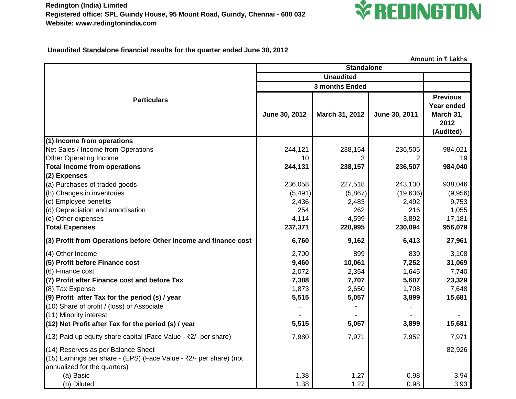

 **Unaudited Standalone financial results for the quarter ended June 30, 2012**

|                                                                                                                                          | <b>Standalone</b> | ATTIVATIL III A LANTJ            |               |                                                                 |
|------------------------------------------------------------------------------------------------------------------------------------------|-------------------|----------------------------------|---------------|-----------------------------------------------------------------|
|                                                                                                                                          | <b>Unaudited</b>  |                                  |               |                                                                 |
|                                                                                                                                          |                   |                                  |               |                                                                 |
| <b>Particulars</b>                                                                                                                       | June 30, 2012     | 3 months Ended<br>March 31, 2012 | June 30, 2011 | <b>Previous</b><br>Year ended<br>March 31,<br>2012<br>(Audited) |
| (1) Income from operations                                                                                                               |                   |                                  |               |                                                                 |
| Net Sales / Income from Operations                                                                                                       | 244,121           | 238,154                          | 236,505       | 984,021                                                         |
| <b>Other Operating Income</b>                                                                                                            | 10                | 3                                |               | 19                                                              |
| <b>Total Income from operations</b>                                                                                                      | 244,131           | 238,157                          | 236,507       | 984,040                                                         |
| (2) Expenses                                                                                                                             |                   |                                  |               |                                                                 |
| (a) Purchases of traded goods                                                                                                            | 236,058           | 227,518                          | 243,130       | 938,046                                                         |
| (b) Changes in inventories                                                                                                               | (5, 491)          | (5,867)                          | (19, 636)     | (9,956)                                                         |
| (c) Employee benefits                                                                                                                    | 2,436             | 2,483                            | 2,492         | 9,753                                                           |
| (d) Depreciation and amortisation                                                                                                        | 254               | 262                              | 216           | 1,055                                                           |
| (e) Other expenses                                                                                                                       | 4,114             | 4,599                            | 3,892         | 17,181                                                          |
| <b>Total Expenses</b>                                                                                                                    | 237,371           | 228,995                          | 230,094       | 956,079                                                         |
| (3) Profit from Operations before Other Income and finance cost                                                                          | 6,760             | 9,162                            | 6,413         | 27,961                                                          |
| (4) Other Income                                                                                                                         | 2,700             | 899                              | 839           | 3,108                                                           |
| (5) Profit before Finance cost                                                                                                           | 9,460             | 10,061                           | 7,252         | 31,069                                                          |
| (6) Finance cost                                                                                                                         | 2,072             | 2,354                            | 1,645         | 7,740                                                           |
| (7) Profit after Finance cost and before Tax                                                                                             | 7,388             | 7,707                            | 5,607         | 23,329                                                          |
| (8) Tax Expense                                                                                                                          | 1,873             | 2,650                            | 1,708         | 7,648                                                           |
| (9) Profit after Tax for the period (s) / year                                                                                           | 5,515             | 5,057                            | 3,899         | 15,681                                                          |
| (10) Share of profit / (loss) of Associate                                                                                               |                   |                                  |               |                                                                 |
| (11) Minority interest                                                                                                                   |                   |                                  |               |                                                                 |
| (12) Net Profit after Tax for the period (s) / year                                                                                      | 5,515             | 5,057                            | 3,899         | 15,681                                                          |
| (13) Paid up equity share capital (Face Value - ₹2/- per share)                                                                          | 7,980             | 7,971                            | 7,952         | 7,971                                                           |
| (14) Reserves as per Balance Sheet<br>(15) Earnings per share - (EPS) (Face Value - ₹2/- per share) (not<br>annualized for the quarters) |                   |                                  |               | 82,926                                                          |
| (a) Basic                                                                                                                                | 1.38              | 1.27                             | 0.98          | 3.94                                                            |
| (b) Diluted                                                                                                                              | 1.38              | 1.27                             | 0.98          | 3.93                                                            |

Amount in  $\bar{\tau}$  Lakhs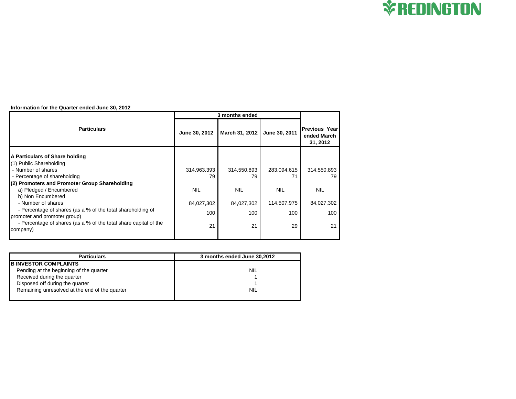

## **Information for the Quarter ended June 30, 2012**

|                                                                              | 3 months ended |                |               |                                                 |
|------------------------------------------------------------------------------|----------------|----------------|---------------|-------------------------------------------------|
| <b>Particulars</b>                                                           | June 30, 2012  | March 31, 2012 | June 30, 2011 | <b>Previous Year</b><br>ended March<br>31, 2012 |
| A Particulars of Share holding                                               |                |                |               |                                                 |
| (1) Public Shareholding                                                      |                |                |               |                                                 |
| - Number of shares                                                           | 314,963,393    | 314,550,893    | 283,094,615   | 314,550,893                                     |
| - Percentage of shareholding                                                 | 79             | 79             |               | 79                                              |
| (2) Promoters and Promoter Group Shareholding                                |                |                |               |                                                 |
| a) Pledged / Encumbered                                                      | <b>NIL</b>     | <b>NIL</b>     | <b>NIL</b>    | <b>NIL</b>                                      |
| b) Non Encumbered                                                            |                |                |               |                                                 |
| - Number of shares                                                           | 84,027,302     | 84,027,302     | 114,507,975   | 84,027,302                                      |
| - Percentage of shares (as a % of the total shareholding of                  | 100            | 100            | 100           | 100                                             |
| promoter and promoter group)                                                 |                |                |               |                                                 |
| - Percentage of shares (as a % of the total share capital of the<br>company) | 21             | 21             | 29            | 21                                              |
|                                                                              |                |                |               |                                                 |

| <b>Particulars</b>                             | 3 months ended June 30,2012 |  |  |  |
|------------------------------------------------|-----------------------------|--|--|--|
| <b>B INVESTOR COMPLAINTS</b>                   |                             |  |  |  |
| Pending at the beginning of the quarter        | <b>NIL</b>                  |  |  |  |
| Received during the quarter                    |                             |  |  |  |
| Disposed off during the quarter                |                             |  |  |  |
| Remaining unresolved at the end of the quarter | <b>NIL</b>                  |  |  |  |
|                                                |                             |  |  |  |